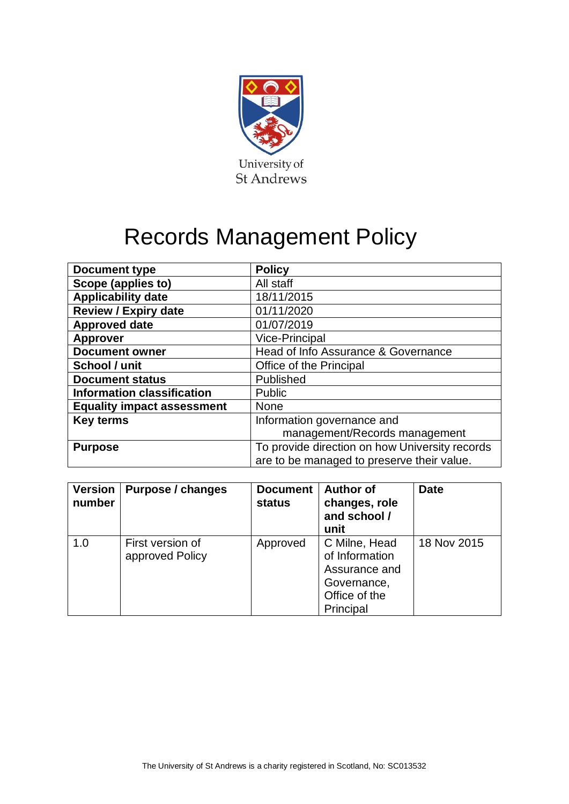

# Records Management Policy

| <b>Document type</b>              | <b>Policy</b>                                  |  |  |
|-----------------------------------|------------------------------------------------|--|--|
| Scope (applies to)                | All staff                                      |  |  |
| <b>Applicability date</b>         | 18/11/2015                                     |  |  |
| <b>Review / Expiry date</b>       | 01/11/2020                                     |  |  |
| <b>Approved date</b>              | 01/07/2019                                     |  |  |
| <b>Approver</b>                   | Vice-Principal                                 |  |  |
| <b>Document owner</b>             | Head of Info Assurance & Governance            |  |  |
| School / unit                     | Office of the Principal                        |  |  |
| <b>Document status</b>            | Published                                      |  |  |
| <b>Information classification</b> | Public                                         |  |  |
| <b>Equality impact assessment</b> | <b>None</b>                                    |  |  |
| <b>Key terms</b>                  | Information governance and                     |  |  |
|                                   | management/Records management                  |  |  |
| <b>Purpose</b>                    | To provide direction on how University records |  |  |
|                                   | are to be managed to preserve their value.     |  |  |

| <b>Version</b><br>number | Purpose / changes                   | <b>Document</b><br>status | <b>Author of</b><br>changes, role<br>and school /<br>unit                                     | <b>Date</b> |
|--------------------------|-------------------------------------|---------------------------|-----------------------------------------------------------------------------------------------|-------------|
| 1.0                      | First version of<br>approved Policy | Approved                  | C Milne, Head<br>of Information<br>Assurance and<br>Governance,<br>Office of the<br>Principal | 18 Nov 2015 |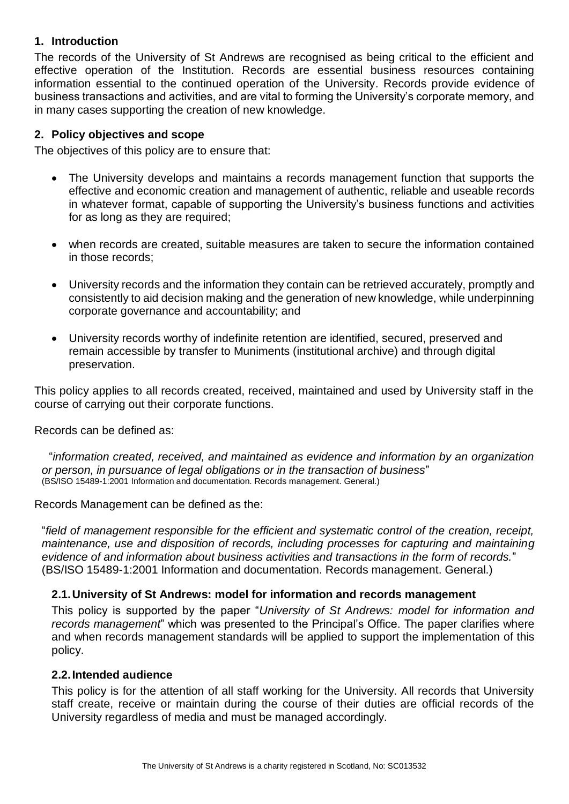# **1. Introduction**

The records of the University of St Andrews are recognised as being critical to the efficient and effective operation of the Institution. Records are essential business resources containing information essential to the continued operation of the University. Records provide evidence of business transactions and activities, and are vital to forming the University's corporate memory, and in many cases supporting the creation of new knowledge.

# **2. Policy objectives and scope**

The objectives of this policy are to ensure that:

- The University develops and maintains a records management function that supports the effective and economic creation and management of authentic, reliable and useable records in whatever format, capable of supporting the University's business functions and activities for as long as they are required;
- when records are created, suitable measures are taken to secure the information contained in those records;
- University records and the information they contain can be retrieved accurately, promptly and consistently to aid decision making and the generation of new knowledge, while underpinning corporate governance and accountability; and
- University records worthy of indefinite retention are identified, secured, preserved and remain accessible by transfer to Muniments (institutional archive) and through digital preservation.

This policy applies to all records created, received, maintained and used by University staff in the course of carrying out their corporate functions.

Records can be defined as:

"*information created, received, and maintained as evidence and information by an organization or person, in pursuance of legal obligations or in the transaction of business*" (BS/ISO 15489-1:2001 Information and documentation. Records management. General.)

Records Management can be defined as the:

"*field of management responsible for the efficient and systematic control of the creation, receipt, maintenance, use and disposition of records, including processes for capturing and maintaining evidence of and information about business activities and transactions in the form of records.*" (BS/ISO 15489-1:2001 Information and documentation. Records management. General.)

#### **2.1.University of St Andrews: model for information and records management**

This policy is supported by the paper "*University of St Andrews: model for information and records management*" which was presented to the Principal's Office. The paper clarifies where and when records management standards will be applied to support the implementation of this policy.

#### **2.2.Intended audience**

This policy is for the attention of all staff working for the University. All records that University staff create, receive or maintain during the course of their duties are official records of the University regardless of media and must be managed accordingly.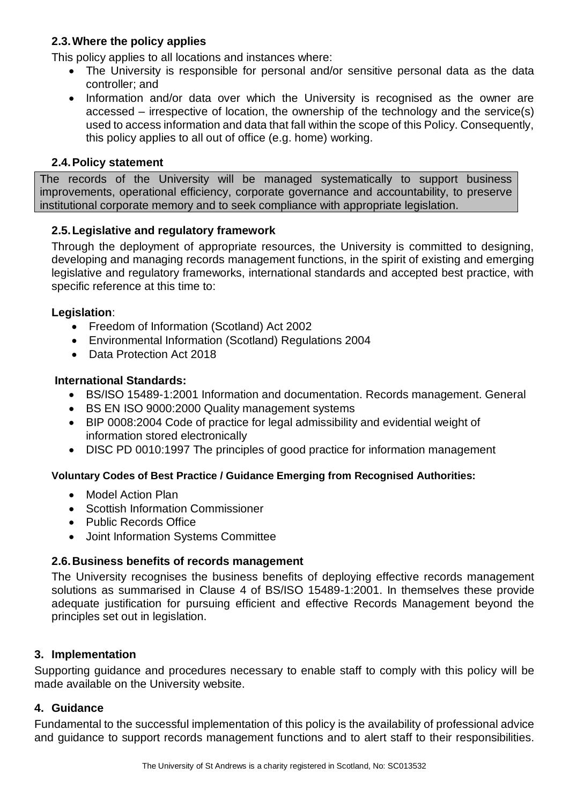# **2.3.Where the policy applies**

This policy applies to all locations and instances where:

- The University is responsible for personal and/or sensitive personal data as the data controller; and
- Information and/or data over which the University is recognised as the owner are accessed – irrespective of location, the ownership of the technology and the service(s) used to access information and data that fall within the scope of this Policy. Consequently, this policy applies to all out of office (e.g. home) working.

#### **2.4.Policy statement**

The records of the University will be managed systematically to support business improvements, operational efficiency, corporate governance and accountability, to preserve institutional corporate memory and to seek compliance with appropriate legislation.

# **2.5.Legislative and regulatory framework**

Through the deployment of appropriate resources, the University is committed to designing, developing and managing records management functions, in the spirit of existing and emerging legislative and regulatory frameworks, international standards and accepted best practice, with specific reference at this time to:

# **Legislation**:

- Freedom of Information (Scotland) Act 2002
- Environmental Information (Scotland) Regulations 2004
- Data Protection Act 2018

# **International Standards:**

- BS/ISO 15489-1:2001 Information and documentation. Records management. General
- BS EN ISO 9000:2000 Quality management systems
- BIP 0008:2004 Code of practice for legal admissibility and evidential weight of information stored electronically
- DISC PD 0010:1997 The principles of good practice for information management

#### **Voluntary Codes of Best Practice / Guidance Emerging from Recognised Authorities:**

- Model Action Plan
- Scottish Information Commissioner
- Public Records Office
- Joint Information Systems Committee

# **2.6.Business benefits of records management**

The University recognises the business benefits of deploying effective records management solutions as summarised in Clause 4 of BS/ISO 15489-1:2001. In themselves these provide adequate justification for pursuing efficient and effective Records Management beyond the principles set out in legislation.

#### **3. Implementation**

Supporting guidance and procedures necessary to enable staff to comply with this policy will be made available on the University website.

#### **4. Guidance**

Fundamental to the successful implementation of this policy is the availability of professional advice and guidance to support records management functions and to alert staff to their responsibilities.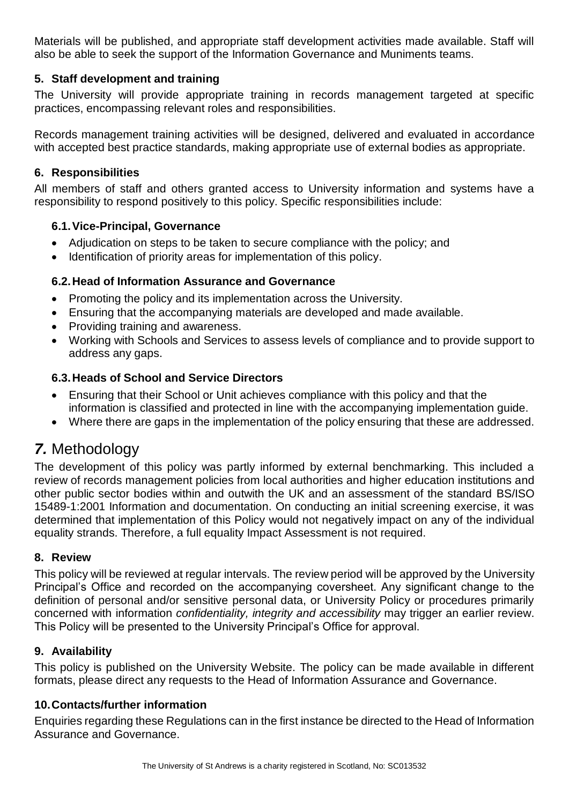Materials will be published, and appropriate staff development activities made available. Staff will also be able to seek the support of the Information Governance and Muniments teams.

# **5. Staff development and training**

The University will provide appropriate training in records management targeted at specific practices, encompassing relevant roles and responsibilities.

Records management training activities will be designed, delivered and evaluated in accordance with accepted best practice standards, making appropriate use of external bodies as appropriate.

# **6. Responsibilities**

All members of staff and others granted access to University information and systems have a responsibility to respond positively to this policy. Specific responsibilities include:

# **6.1.Vice-Principal, Governance**

- Adjudication on steps to be taken to secure compliance with the policy; and
- Identification of priority areas for implementation of this policy.

# **6.2.Head of Information Assurance and Governance**

- Promoting the policy and its implementation across the University.
- Ensuring that the accompanying materials are developed and made available.
- Providing training and awareness.
- Working with Schools and Services to assess levels of compliance and to provide support to address any gaps.

# **6.3.Heads of School and Service Directors**

- Ensuring that their School or Unit achieves compliance with this policy and that the information is classified and protected in line with the accompanying implementation guide.
- Where there are gaps in the implementation of the policy ensuring that these are addressed.

# *7.* Methodology

The development of this policy was partly informed by external benchmarking. This included a review of records management policies from local authorities and higher education institutions and other public sector bodies within and outwith the UK and an assessment of the standard BS/ISO 15489-1:2001 Information and documentation. On conducting an initial screening exercise, it was determined that implementation of this Policy would not negatively impact on any of the individual equality strands. Therefore, a full equality Impact Assessment is not required.

#### **8. Review**

This policy will be reviewed at regular intervals. The review period will be approved by the University Principal's Office and recorded on the accompanying coversheet. Any significant change to the definition of personal and/or sensitive personal data, or University Policy or procedures primarily concerned with information *confidentiality, integrity and accessibility* may trigger an earlier review. This Policy will be presented to the University Principal's Office for approval.

# **9. Availability**

This policy is published on the University Website. The policy can be made available in different formats, please direct any requests to the Head of Information Assurance and Governance.

#### **10.Contacts/further information**

Enquiries regarding these Regulations can in the first instance be directed to the Head of Information Assurance and Governance.